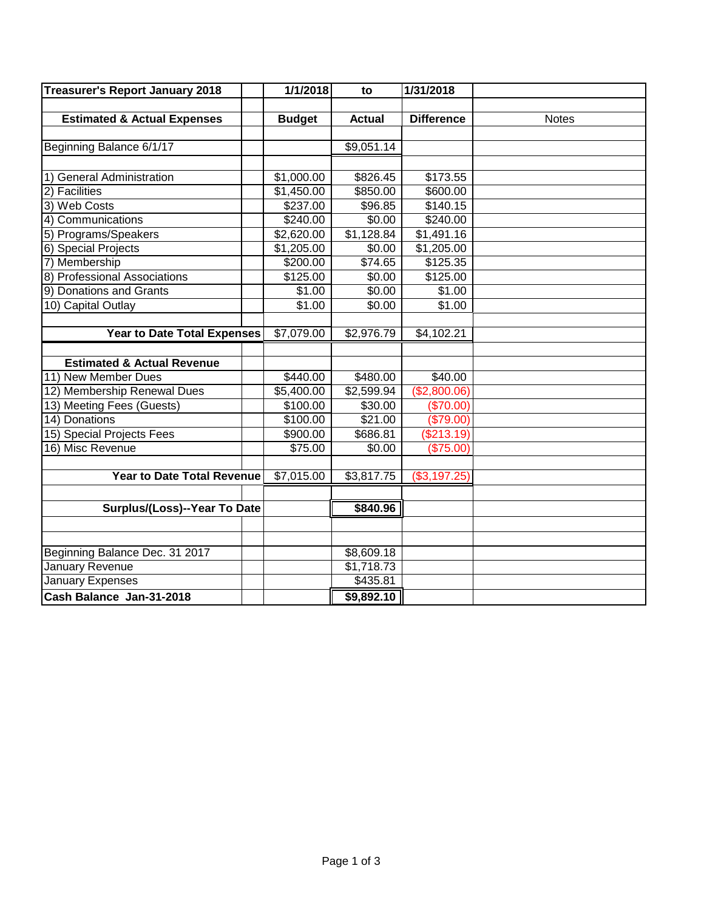| <b>Treasurer's Report January 2018</b> | 1/1/2018<br>to |               | 1/31/2018         |              |
|----------------------------------------|----------------|---------------|-------------------|--------------|
|                                        |                |               |                   |              |
| <b>Estimated &amp; Actual Expenses</b> | <b>Budget</b>  | <b>Actual</b> | <b>Difference</b> | <b>Notes</b> |
|                                        |                |               |                   |              |
| Beginning Balance 6/1/17               |                | \$9,051.14    |                   |              |
|                                        |                |               |                   |              |
| 1) General Administration              | \$1,000.00     | \$826.45      | \$173.55          |              |
| 2) Facilities                          | \$1,450.00     | \$850.00      | \$600.00          |              |
| 3) Web Costs                           | \$237.00       | \$96.85       | \$140.15          |              |
| 4) Communications                      | \$240.00       | \$0.00        | \$240.00          |              |
| 5) Programs/Speakers                   | \$2,620.00     | \$1,128.84    | \$1,491.16        |              |
| 6) Special Projects                    | \$1,205.00     | \$0.00        | \$1,205.00        |              |
| 7) Membership                          | \$200.00       | \$74.65       | \$125.35          |              |
| 8) Professional Associations           | \$125.00       | \$0.00        | \$125.00          |              |
| 9) Donations and Grants                | \$1.00         | \$0.00        | \$1.00            |              |
| 10) Capital Outlay                     | \$1.00         | \$0.00        | \$1.00            |              |
|                                        |                |               |                   |              |
| <b>Year to Date Total Expenses</b>     | \$7,079.00     | \$2,976.79    | \$4,102.21        |              |
|                                        |                |               |                   |              |
| <b>Estimated &amp; Actual Revenue</b>  |                |               |                   |              |
| 11) New Member Dues                    | \$440.00       | \$480.00      | \$40.00           |              |
| 12) Membership Renewal Dues            | \$5,400.00     | \$2,599.94    | (\$2,800.06)      |              |
| 13) Meeting Fees (Guests)              | \$100.00       | \$30.00       | (\$70.00)         |              |
| 14) Donations                          | \$100.00       | \$21.00       | (\$79.00)         |              |
| 15) Special Projects Fees              | \$900.00       | \$686.81      | (\$213.19)        |              |
| 16) Misc Revenue                       | \$75.00        | \$0.00        | (\$75.00)         |              |
|                                        |                |               |                   |              |
| <b>Year to Date Total Revenue</b>      | \$7,015.00     | \$3,817.75    | (\$3,197.25)      |              |
|                                        |                |               |                   |              |
| Surplus/(Loss)--Year To Date           |                | \$840.96      |                   |              |
|                                        |                |               |                   |              |
|                                        |                |               |                   |              |
| Beginning Balance Dec. 31 2017         |                | \$8,609.18    |                   |              |
| January Revenue                        |                | \$1,718.73    |                   |              |
| January Expenses                       |                | \$435.81      |                   |              |
| Cash Balance Jan-31-2018               |                | \$9,892.10    |                   |              |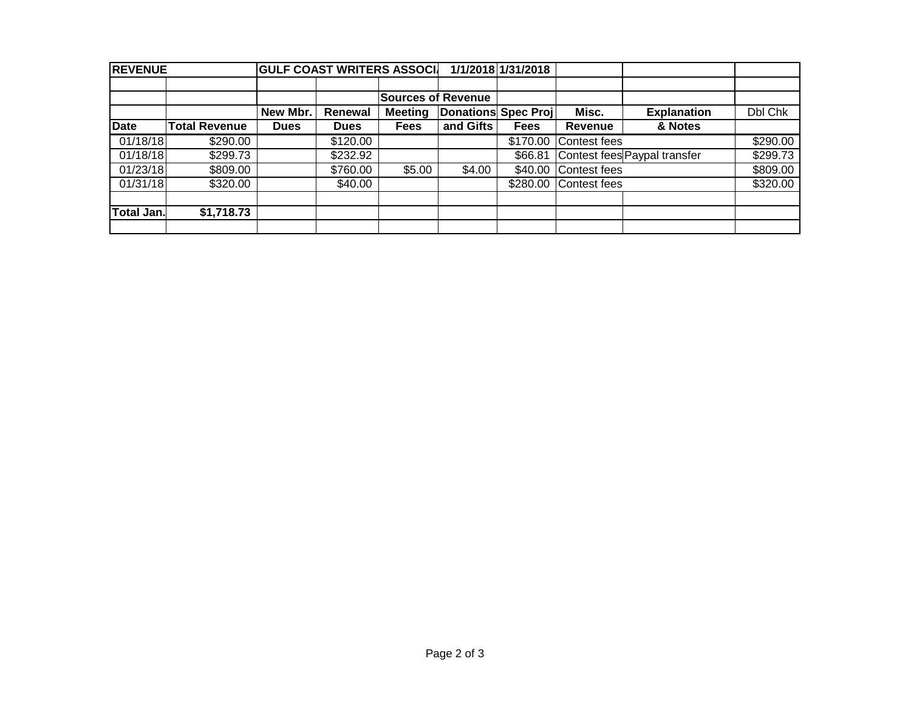| <b>REVENUE</b> |                      |             |                | <b>GULF COAST WRITERS ASSOCI</b> |                            | 1/1/2018 1/31/2018 |                              |                    |          |
|----------------|----------------------|-------------|----------------|----------------------------------|----------------------------|--------------------|------------------------------|--------------------|----------|
|                |                      |             |                |                                  |                            |                    |                              |                    |          |
|                |                      |             |                | <b>Sources of Revenue</b>        |                            |                    |                              |                    |          |
|                |                      | New Mbr.    | <b>Renewal</b> | <b>Meeting</b>                   | <b>Donations Spec Proj</b> |                    | Misc.                        | <b>Explanation</b> | Dbl Chk  |
| <b>Date</b>    | <b>Total Revenue</b> | <b>Dues</b> | <b>Dues</b>    | <b>Fees</b>                      | and Gifts                  | <b>Fees</b>        | Revenue                      | & Notes            |          |
| 01/18/18       | \$290.00             |             | \$120.00       |                                  |                            | \$170.00           | Contest fees                 |                    | \$290.00 |
| 01/18/18       | \$299.73             |             | \$232.92       |                                  |                            | \$66.81            | Contest fees Paypal transfer | \$299.73           |          |
| 01/23/18       | \$809.00             |             | \$760.00       | \$5.00                           | \$4.00                     | \$40.00            | Contest fees                 | \$809.00           |          |
| 01/31/18       | \$320.00             |             | \$40.00        |                                  |                            | \$280.00           | Contest fees                 | \$320.00           |          |
|                |                      |             |                |                                  |                            |                    |                              |                    |          |
| Total Jan.     | \$1,718.73           |             |                |                                  |                            |                    |                              |                    |          |
|                |                      |             |                |                                  |                            |                    |                              |                    |          |